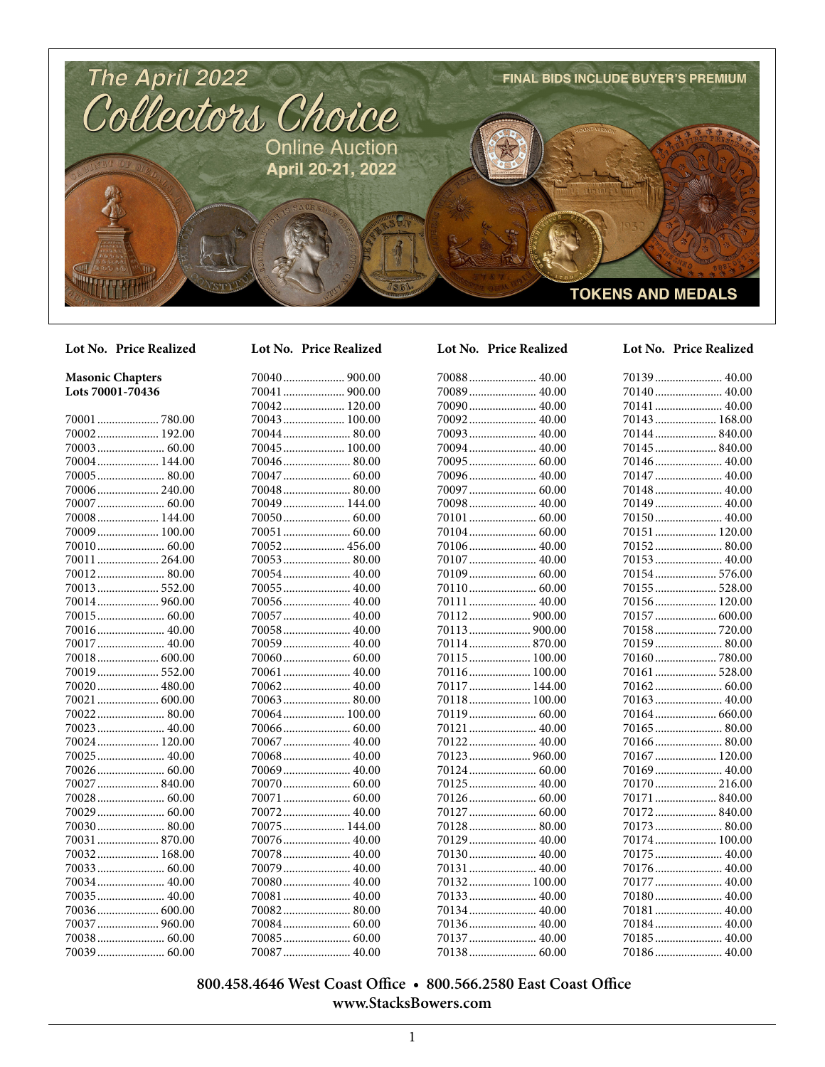

## **Masonic Chapters Lots 70001-70436**

| 70001  780.00 |
|---------------|
|               |
|               |
| 70004 144.00  |
| 70005 80.00   |
| 70006 240.00  |
| 70007  60.00  |
| 70008 144.00  |
| 70009  100.00 |
| 70010 60.00   |
| 70011 264.00  |
|               |
| 70013 552.00  |
|               |
|               |
| 70016 40.00   |
| 70017  40.00  |
| 70018 600.00  |
| 70019 552.00  |
| 70020 480.00  |
| 70021  600.00 |
| 70022 80.00   |
| 70023 40.00   |
| 70024 120.00  |
| 70025  40.00  |
|               |
| 70027  840.00 |
| 70028  60.00  |
|               |
|               |
|               |
| 70032 168.00  |
|               |
|               |
| 70035 40.00   |
| 70036 600.00  |
| 70037  960.00 |
|               |
|               |

| 70041  900.00 |  |
|---------------|--|
| 70042 120.00  |  |
| 70043  100.00 |  |
|               |  |
| 70045  100.00 |  |
|               |  |
| 70047  60.00  |  |
|               |  |
| 70049 144.00  |  |
|               |  |
|               |  |
| 70052 456.00  |  |
| 70053 80.00   |  |
| 70054 40.00   |  |
| 70055 40.00   |  |
| 70056 40.00   |  |
| 70057  40.00  |  |
| 70058 40.00   |  |
| 70059 40.00   |  |
|               |  |
| 70061  40.00  |  |
| 70062 40.00   |  |
|               |  |
| 70064  100.00 |  |
|               |  |
| 70067  40.00  |  |
|               |  |
| 70069  40.00  |  |
| 70070  60.00  |  |
| 70071  60.00  |  |
| 70072 40.00   |  |
| 70075 144.00  |  |
| 70076 40.00   |  |
| 70078 40.00   |  |
| 70079 40.00   |  |
| 70080 40.00   |  |
| 70081  40.00  |  |
| 70082 80.00   |  |
|               |  |

70085....................... 60.00 70087....................... 40.00

|  | 70089  40.00  |
|--|---------------|
|  |               |
|  | 70092 40.00   |
|  |               |
|  | 70094  40.00  |
|  | 70095  60.00  |
|  | 70096 40.00   |
|  |               |
|  |               |
|  | 70101  60.00  |
|  |               |
|  |               |
|  | 70107  40.00  |
|  |               |
|  |               |
|  | 70111  40.00  |
|  |               |
|  |               |
|  |               |
|  | 70115 100.00  |
|  | 70116 100.00  |
|  | 70117  144.00 |
|  | 70118 100.00  |
|  |               |
|  | 70121  40.00  |
|  |               |
|  | 70123  960.00 |
|  |               |
|  |               |
|  |               |
|  |               |

70128....................... 80.00 70129....................... 40.00 70130....................... 40.00 70131....................... 40.00 70132..................... 100.00 70133....................... 40.00 70134....................... 40.00 70136....................... 40.00 70137....................... 40.00 70138....................... 60.00

### **Lot No. Price Realized Lot No. Price Realized Lot No. Price Realized Lot No. Price Realized**

| 70139 40.00   |  |
|---------------|--|
|               |  |
| 70141  40.00  |  |
| 70143  168.00 |  |
| 70144 840.00  |  |
| 70145  840.00 |  |
| 70146  40.00  |  |
| 70147  40.00  |  |
| 70148  40.00  |  |
| 70149 40.00   |  |
| 70150 40.00   |  |
| 70151  120.00 |  |
| 70152 80.00   |  |
| 70153 40.00   |  |
|               |  |
| 70155 528.00  |  |
| 70156 120.00  |  |
| 70157  600.00 |  |
|               |  |
| 70159 80.00   |  |
|               |  |
| 70161  528.00 |  |
|               |  |
| 70163 40.00   |  |
|               |  |
|               |  |
| 70166  80.00  |  |
|               |  |
| 70169 40.00   |  |
| 70170 216.00  |  |
| 70171  840.00 |  |
|               |  |
| 70173 80.00   |  |
| 70174 100.00  |  |
| 70175 40.00   |  |
| 70176 40.00   |  |
| 70177  40.00  |  |
|               |  |
| 70181  40.00  |  |
|               |  |
| 70185 40.00   |  |
|               |  |

## **800.458.4646 West Coast Office • 800.566.2580 East Coast Office www.StacksBowers.com**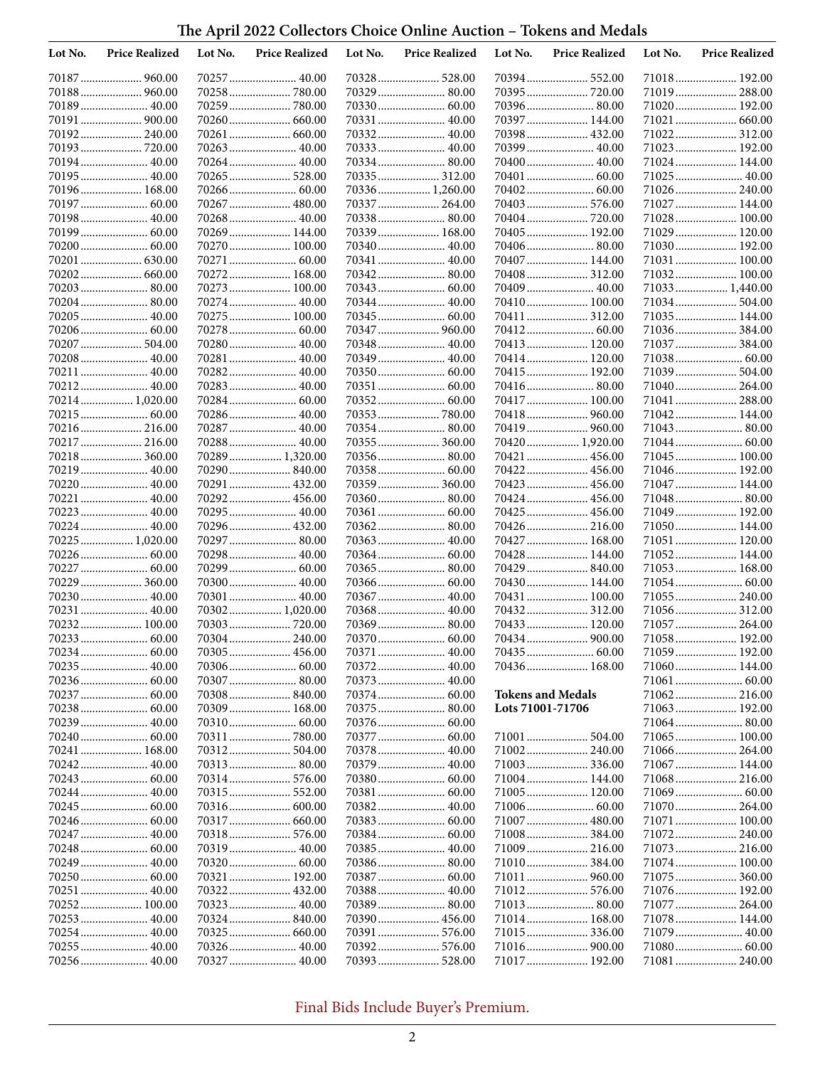# **The April 2022 Collectors Choice Online Auction – Tokens and Medals**

| Lot No. | <b>Price Realized</b>         | Lot No. | <b>Price Realized</b>         | Lot No. | <b>Price Realized</b>         | Lot No.          | <b>Price Realized</b>    | Lot No. | <b>Price Realized</b>         |
|---------|-------------------------------|---------|-------------------------------|---------|-------------------------------|------------------|--------------------------|---------|-------------------------------|
|         | 70187  960.00                 |         |                               |         |                               |                  |                          |         | 71018 192.00                  |
|         | 70188 960.00                  |         | 70258780.00                   |         | 70329  80.00                  |                  | 70395  720.00            |         | 71019 288.00                  |
|         |                               |         |                               |         |                               |                  |                          |         | 71020 192.00                  |
|         | 70191  900.00                 |         | 70260 660.00                  |         |                               |                  | 70397  144.00            |         | 71021  660.00                 |
|         | 70192 240.00                  |         | 70261  660.00                 |         | 70332 40.00                   |                  | 70398 432.00             |         | 71022 312.00                  |
|         | 70193720.00                   |         | 70263 40.00                   |         | 70333 40.00                   |                  | 70399  40.00             |         | 71023 192.00                  |
|         | 70194 40.00                   |         | 70264 40.00                   |         | 70334 80.00                   |                  | 70400  40.00             |         | 71024 144.00                  |
|         | 70195  40.00                  |         | 70265 528.00                  |         | 70335  312.00                 |                  |                          |         | 71025  40.00                  |
|         | 70196 168.00                  |         |                               |         | 70336 1,260.00                |                  |                          |         | 71026 240.00                  |
|         | 70198 40.00                   |         | 70267  480.00<br>70268 40.00  |         | 70337  264.00<br>70338 80.00  |                  | 70403  576.00            |         | 71027  144.00<br>71028 100.00 |
|         |                               |         | 70269 144.00                  |         | 70339  168.00                 |                  | 70405  192.00            |         | 71029  120.00                 |
|         |                               |         | 70270 100.00                  |         | 70340 40.00                   |                  |                          |         | 71030 192.00                  |
|         | 70201  630.00                 |         |                               |         | 70341  40.00                  |                  | 70407  144.00            |         | 71031 100.00                  |
|         | 70202 660.00                  |         | 70272 168.00                  |         | 70342 80.00                   |                  | 70408 312.00             |         | 71032 100.00                  |
|         | 70203  80.00                  |         | 70273 100.00                  |         |                               |                  |                          |         | 71033 1,440.00                |
|         | 70204 80.00                   |         | 70274 40.00                   |         |                               |                  | 70410 100.00             |         | 71034 504.00                  |
|         |                               |         | 70275 100.00                  |         | 70345  60.00                  |                  | 70411  312.00            |         | 71035 144.00                  |
|         |                               |         |                               |         | 70347  960.00                 |                  |                          |         | 71036 384.00                  |
|         |                               |         | 70280 40.00                   |         | 70348 40.00                   |                  | 70413  120.00            |         | 71037  384.00                 |
|         | 70208 40.00                   |         | 70281  40.00                  |         |                               |                  | 70414 120.00             |         | 71038 60.00                   |
|         |                               |         | 70282 40.00                   |         |                               |                  | 70415  192.00            |         | 71039  504.00                 |
|         | 70212 40.00                   |         | 70283 40.00                   |         |                               |                  |                          |         | 71040 264.00                  |
|         | 70214 1,020.00                |         |                               |         |                               |                  | 70417 100.00             |         | 71041  288.00                 |
|         | 70215  60.00                  |         | 70286 40.00                   |         |                               |                  |                          |         | 71042 144.00                  |
|         | 70216 216.00                  |         | 70287 40.00                   |         |                               |                  | 70419  960.00            |         | 71043  80.00                  |
|         | 70217  216.00<br>70218 360.00 |         | 70288 40.00<br>70289 1,320.00 |         | 70355  360.00<br>70356 80.00  |                  | 70420 1,920.00           |         | 71045  100.00                 |
|         | 70219  40.00                  |         | 70290840.00                   |         |                               |                  |                          |         | 71046 192.00                  |
|         | 70220  40.00                  |         | 70291  432.00                 |         | 70359  360.00                 |                  | 70423  456.00            |         | 71047  144.00                 |
|         | 70221  40.00                  |         |                               |         | 70360 80.00                   |                  |                          |         |                               |
|         | 70223  40.00                  |         | 70295 40.00                   |         | 70361  60.00                  |                  | 70425  456.00            |         | 71049  192.00                 |
|         | 70224  40.00                  |         | 70296 432.00                  |         |                               |                  |                          |         | 71050 144.00                  |
|         | 70225  1,020.00               |         |                               |         |                               |                  | 70427  168.00            |         | 71051  120.00                 |
|         |                               |         | 70298 40.00                   |         |                               |                  | 70428 144.00             |         | 71052 144.00                  |
|         | 70227  60.00                  |         |                               |         |                               |                  | 70429  840.00            |         |                               |
|         | 70229  360.00                 |         | 70300 40.00                   |         |                               |                  | 70430 144.00             |         |                               |
|         | 70230 40.00                   |         | 70301 40.00                   |         |                               |                  | 70431  100.00            |         | 71055 240.00                  |
|         | 70231  40.00                  |         | 70302 1,020.00                |         |                               |                  |                          |         | 71056 312.00                  |
|         | 70232 100.00                  |         | 70303720.00                   |         | 70369  80.00                  |                  | 70433 120.00             |         | 71057  264.00                 |
|         | 70233  60.00                  |         | 70304 240.00                  |         |                               |                  | 70434  900.00            |         | 71058 192.00                  |
|         |                               |         | 70305  456.00                 |         |                               |                  |                          |         | 71059 192.00                  |
|         |                               |         | 70306  60.00                  |         | 70372  40.00                  |                  | 70436 168.00             |         | 71060 144.00                  |
|         |                               |         | 70307 80.00                   |         |                               |                  | <b>Tokens and Medals</b> |         | 71062 216.00                  |
|         |                               |         | 70309 168.00                  |         |                               | Lots 71001-71706 |                          |         | 71063 192.00                  |
|         |                               |         |                               |         | 70376  60.00                  |                  |                          |         |                               |
|         |                               |         |                               |         |                               |                  |                          |         | 71065 100.00                  |
|         | 70241  168.00                 |         |                               |         | 70378 40.00                   |                  | 71002 240.00             |         | 71066 264.00                  |
|         |                               |         |                               |         |                               |                  | 71003 336.00             |         | 71067  144.00                 |
|         |                               |         | 70314 576.00                  |         |                               |                  | 71004 144.00             |         | 71068 216.00                  |
|         |                               |         |                               |         |                               |                  | 71005 120.00             |         |                               |
|         |                               |         |                               |         |                               |                  |                          |         | 71070 264.00                  |
|         |                               |         |                               |         |                               |                  |                          |         | 71071  100.00                 |
|         | 70247  40.00                  |         |                               |         |                               |                  | 71008 384.00             |         | 71072 240.00                  |
|         |                               |         |                               |         |                               |                  | 71009 216.00             |         | 71073 216.00                  |
|         | 70249  40.00                  |         |                               |         |                               |                  | 71010 384.00             |         | 71074 100.00                  |
|         |                               |         | 70321  192.00                 |         |                               |                  | 71011  960.00            |         | 71075 360.00                  |
|         |                               |         |                               |         | 70388 40.00                   |                  | 71012 576.00             |         | 71076 192.00                  |
|         | 70252 100.00                  |         |                               |         |                               |                  | 71013 80.00              |         | 71077  264.00                 |
|         |                               |         | 70324 840.00                  |         | 70390 456.00<br>70391  576.00 |                  | 71014 168.00             |         | 71078  144.00<br>71079  40.00 |
|         |                               |         |                               |         |                               |                  |                          |         |                               |
|         |                               |         |                               |         |                               |                  | 71017 192.00             |         | 71081  240.00                 |
|         |                               |         |                               |         |                               |                  |                          |         |                               |

## Final Bids Include Buyer's Premium.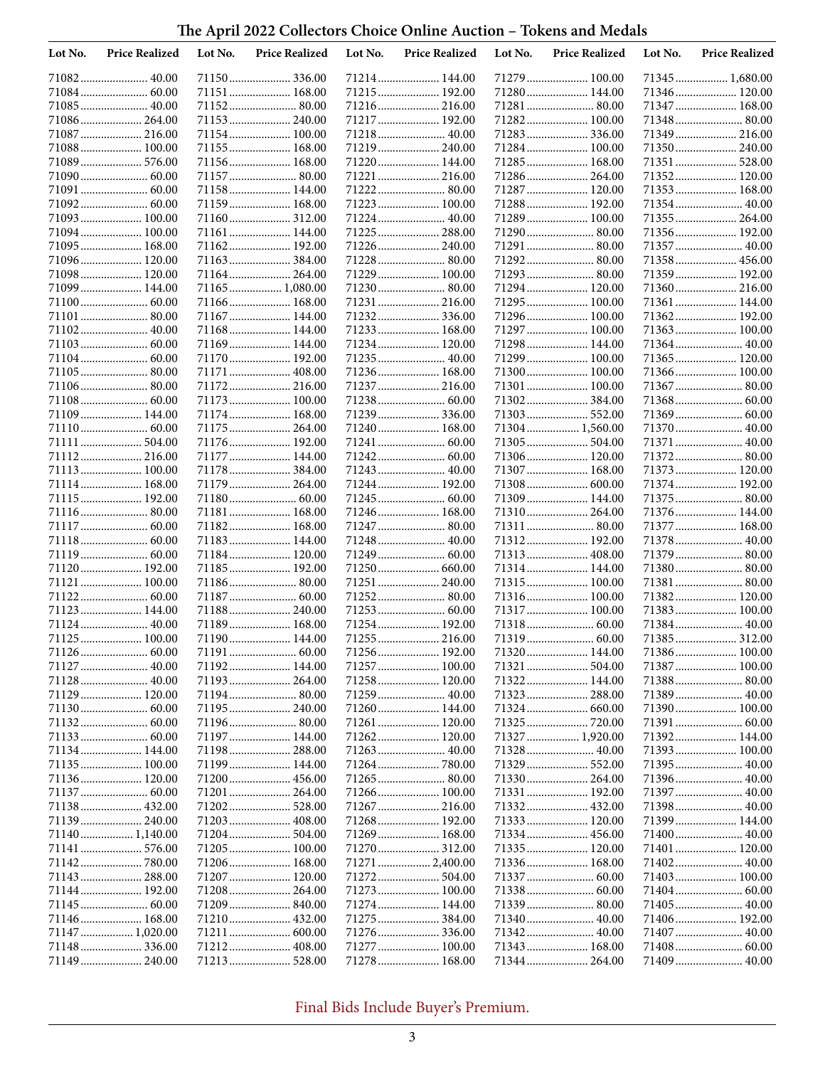**The April 2022 Collectors Choice Online Auction – Tokens and Medals**

| Lot No. | <b>Price Realized</b>         | Lot No. | <b>Price Realized</b>        | Lot No. | <b>Price Realized</b>          | Lot No. | <b>Price Realized</b>        | Lot No. | <b>Price Realized</b>         |
|---------|-------------------------------|---------|------------------------------|---------|--------------------------------|---------|------------------------------|---------|-------------------------------|
|         |                               |         |                              |         | 71214 144.00                   |         | 71279  100.00                |         | 71345  1,680.00               |
|         |                               |         | 71151 168.00                 |         | 71215 192.00                   |         | 71280 144.00                 |         | 71346 120.00                  |
|         | 71085 40.00                   |         |                              |         | 71216 216.00                   |         | 71281  80.00                 |         | 71347  168.00                 |
|         | 71086 264.00                  |         | 71153 240.00                 |         | 71217 192.00                   |         | 71282 100.00                 |         | 71348  80.00                  |
|         | 71087  216.00                 |         | 71154 100.00                 |         | 71218 40.00                    |         | 71283 336.00                 |         | 71349  216.00                 |
|         | 71088 100.00<br>71089  576.00 |         | 71155 168.00<br>71156 168.00 |         | 71219 240.00<br>71220 144.00   |         | 71284 100.00                 |         | 71350 240.00                  |
|         |                               |         |                              |         | 71221  216.00                  |         | 71285 168.00<br>71286 264.00 |         | 71351  528.00<br>71352 120.00 |
|         | 71091  60.00                  |         | 71158 144.00                 |         |                                |         | 71287 120.00                 |         | 71353 168.00                  |
|         |                               |         | 71159 168.00                 |         | 71223  100.00                  |         | 71288 192.00                 |         | 71354 40.00                   |
|         | 71093 100.00                  |         | 71160 312.00                 |         |                                |         | 71289 100.00                 |         | 71355  264.00                 |
|         | 71094 100.00                  |         | 71161 144.00                 |         | 71225  288.00                  |         | 71290 80.00                  |         | 71356 192.00                  |
|         | 71095  168.00                 |         | 71162 192.00                 |         | 71226 240.00                   |         | 71291  80.00                 |         | 71357  40.00                  |
|         | 71096 120.00                  |         | 71163 384.00                 |         | 71228 80.00                    |         | 71292 80.00                  |         | 71358 456.00                  |
|         | 71098 120.00                  |         | 71164 264.00                 |         | 71229  100.00                  |         | 71293 80.00                  |         | 71359 192.00                  |
|         | 71099 144.00                  |         | 71165 1,080.00               |         |                                |         | 71294 120.00                 |         | 71360 216.00                  |
|         |                               |         | 71166 168.00                 |         | 71231  216.00                  |         | 71295 100.00                 |         | 71361  144.00                 |
|         | 71101 80.00                   |         | 71167 144.00                 |         | 71232 336.00                   |         | 71296 100.00                 |         | 71362 192.00                  |
|         |                               |         | 71168 144.00                 |         | 71233 168.00                   |         | 71297  100.00                |         | 71363 100.00                  |
|         |                               |         | 71169 144.00<br>71170 192.00 |         | 71234 120.00<br>71235 40.00    |         | 71298 144.00<br>71299 100.00 |         | 71364 40.00<br>71365 120.00   |
|         |                               |         | 71171  408.00                |         | 71236 168.00                   |         | 71300 100.00                 |         |                               |
|         | 71106 80.00                   |         | 71172 216.00                 |         | 71237  216.00                  |         | 71301  100.00                |         | 71367  80.00                  |
|         |                               |         | 71173 100.00                 |         |                                |         | 71302384.00                  |         |                               |
|         | 71109 144.00                  |         | 71174 168.00                 |         | 71239  336.00                  |         | 71303 552.00                 |         |                               |
|         |                               |         | 71175 264.00                 |         | 71240 168.00                   |         | 71304  1,560.00              |         | 71370 40.00                   |
|         | 71111  504.00                 |         | 71176 192.00                 |         |                                |         | 71305  504.00                |         | 71371  40.00                  |
|         | 71112 216.00                  |         | 71177 144.00                 |         |                                |         | 71306 120.00                 |         | 71372 80.00                   |
|         | 71113 100.00                  |         | 71178 384.00                 |         | 71243  40.00                   |         | 71307 168.00                 |         | 71373 120.00                  |
|         | 71114 168.00                  |         | 71179 264.00                 |         | 71244  192.00                  |         | 71308 600.00                 |         | 71374 192.00                  |
|         | 71115 192.00                  |         |                              |         |                                |         | 71309 144.00                 |         | 71375  80.00                  |
|         |                               |         | 71181 168.00                 |         | 71246 168.00                   |         | 71310 264.00                 |         | 71376 144.00                  |
|         | 71117  60.00                  |         | 71182 168.00                 |         | 71247  80.00                   |         | 71311  80.00                 |         | 71377  168.00                 |
|         |                               |         | 71183 144.00<br>71184 120.00 |         | 71248 40.00                    |         | 71312 192.00<br>71313 408.00 |         | 71378 40.00<br>71379  80.00   |
|         | 71120 192.00                  |         | 71185 192.00                 |         | 71250 660.00                   |         | 71314 144.00                 |         | 71380 80.00                   |
|         | 71121  100.00                 |         |                              |         | 71251  240.00                  |         | 71315 100.00                 |         | 71381  80.00                  |
|         |                               |         | 71187 60.00                  |         |                                |         | 71316 100.00                 |         | 71382 120.00                  |
|         | 71123 144.00                  |         | 71188 240.00                 |         |                                |         | 71317 100.00                 |         | 71383 100.00                  |
|         | 71124  40.00                  |         | 71189 168.00                 |         | 71254 192.00                   |         |                              |         | 71384 40.00                   |
|         |                               |         | 71190 144.00                 |         | 71255  216.00                  |         |                              |         |                               |
|         |                               |         |                              |         |                                |         | 71320 144.00                 |         | 71386 100.00                  |
|         |                               |         | 71192 144.00                 |         | 71257  100.00                  |         |                              |         | 71387 100.00                  |
|         | 71128 40.00                   |         |                              |         | 71258 120.00                   |         | 71322 144.00                 |         |                               |
|         | 71129 120.00                  |         | 71194 80.00                  |         | 71259  40.00                   |         |                              |         | 71389 40.00                   |
|         |                               |         | 71195 240.00<br>71196 80.00  |         | 71260 144.00                   |         | 71325  720.00                |         | 71390 100.00                  |
|         |                               |         | 71197 144.00                 |         | 71261  120.00<br>71262  120.00 |         | 71327  1,920.00              |         | 71392 144.00                  |
|         | 71134 144.00                  |         | 71198 288.00                 |         |                                |         | 71328 40.00                  |         | 71393 100.00                  |
|         | 71135 100.00                  |         | 71199 144.00                 |         |                                |         | 71329  552.00                |         | 71395 40.00                   |
|         | 71136 120.00                  |         | 71200 456.00                 |         |                                |         | 71330 264.00                 |         | 71396 40.00                   |
|         |                               |         | 71201 264.00                 |         | 71266 100.00                   |         | 71331  192.00                |         | 71397  40.00                  |
|         | 71138 432.00                  |         | 71202 528.00                 |         | 71267  216.00                  |         |                              |         | 71398 40.00                   |
|         |                               |         |                              |         | 71268 192.00                   |         | 71333 120.00                 |         | 71399  144.00                 |
|         | 71140 1,140.00                |         | 71204 504.00                 |         | 71269 168.00                   |         | 71334 456.00                 |         | 71400 40.00                   |
|         | 71141  576.00                 |         | 71205 100.00                 |         |                                |         | 71335 120.00                 |         | 71401  120.00                 |
|         | 71142780.00                   |         | 71206 168.00                 |         | 71271  2,400.00                |         | 71336 168.00                 |         | 71402 40.00                   |
|         | 71143  288.00                 |         | 71207 120.00                 |         | 71272 504.00                   |         |                              |         | 71403 100.00                  |
|         | 71144 192.00                  |         |                              |         | 71273 100.00                   |         |                              |         |                               |
|         | 71146 168.00                  |         |                              |         | 71274  144.00                  |         |                              |         | 71405  40.00                  |
|         | 71147  1,020.00               |         |                              |         | 71276 336.00                   |         |                              |         |                               |
|         |                               |         | 71212 408.00                 |         | 71277  100.00                  |         | 71343  168.00                |         |                               |
|         | 71149  240.00                 |         |                              |         | 71278 168.00                   |         | 71344  264.00                |         | 71409  40.00                  |
|         |                               |         |                              |         |                                |         |                              |         |                               |

## Final Bids Include Buyer's Premium.